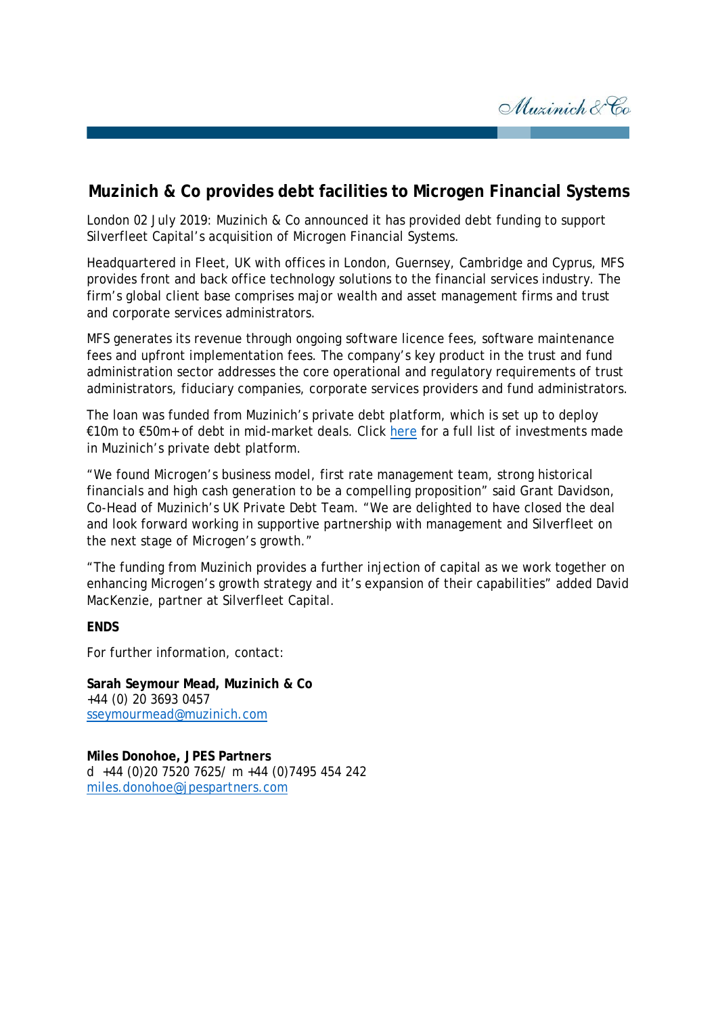

## **Muzinich & Co provides debt facilities to Microgen Financial Systems**

London 02 July 2019: Muzinich & Co announced it has provided debt funding to support Silverfleet Capital's acquisition of Microgen Financial Systems.

Headquartered in Fleet, UK with offices in London, Guernsey, Cambridge and Cyprus, MFS provides front and back office technology solutions to the financial services industry. The firm's global client base comprises major wealth and asset management firms and trust and corporate services administrators.

MFS generates its revenue through ongoing software licence fees, software maintenance fees and upfront implementation fees. The company's key product in the trust and fund administration sector addresses the core operational and regulatory requirements of trust administrators, fiduciary companies, corporate services providers and fund administrators.

The loan was funded from Muzinich's private debt platform, which is set up to deploy €10m to €50m+ of debt in mid-market deals. Click [here](https://www.muzinichprivatedebt.com/investments/) for a full list of investments made in Muzinich's private debt platform.

"We found Microgen's business model, first rate management team, strong historical financials and high cash generation to be a compelling proposition" said Grant Davidson, Co-Head of Muzinich's UK Private Debt Team. "We are delighted to have closed the deal and look forward working in supportive partnership with management and Silverfleet on the next stage of Microgen's growth."

"The funding from Muzinich provides a further injection of capital as we work together on enhancing Microgen's growth strategy and it's expansion of their capabilities" added David MacKenzie, partner at Silverfleet Capital.

## **ENDS**

For further information, contact:

**Sarah Seymour Mead, Muzinich & Co** +44 (0) 20 3693 0457 sseymourmead@muzinich.com

**Miles Donohoe, JPES Partners** d +44 (0)20 7520 7625/ m +44 (0)7495 454 242 [miles.donohoe@jpespartners.com](mailto:miles.donohoe@jpespartners.com)